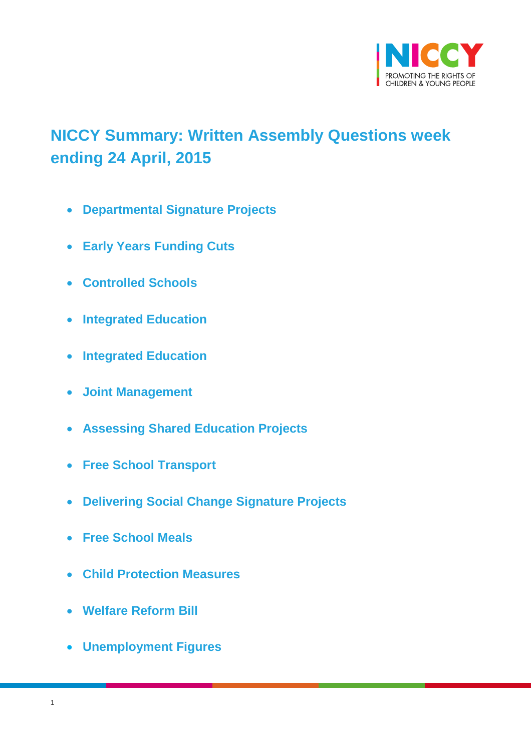

# <span id="page-0-0"></span>**NICCY Summary: Written Assembly Questions week ending 24 April, 2015**

- **[Departmental Signature Projects](#page-2-0)**
- **[Early Years Funding Cuts](#page-3-0)**
- **[Controlled Schools](#page-4-0)**
- **[Integrated Education](#page-4-1)**
- **[Integrated Education](#page-5-0)**
- **[Joint Management](#page-6-0)**
- **[Assessing Shared Education Projects](#page-6-1)**
- **[Free School Transport](#page-7-0)**
- **Delivering [Social Change Signature Projects](#page-7-1)**
- **[Free School Meals](#page-8-0)**
- **[Child Protection Measures](#page-14-0)**
- **[Welfare Reform Bill](#page-16-0)**
- **[Unemployment Figures](#page-16-1)**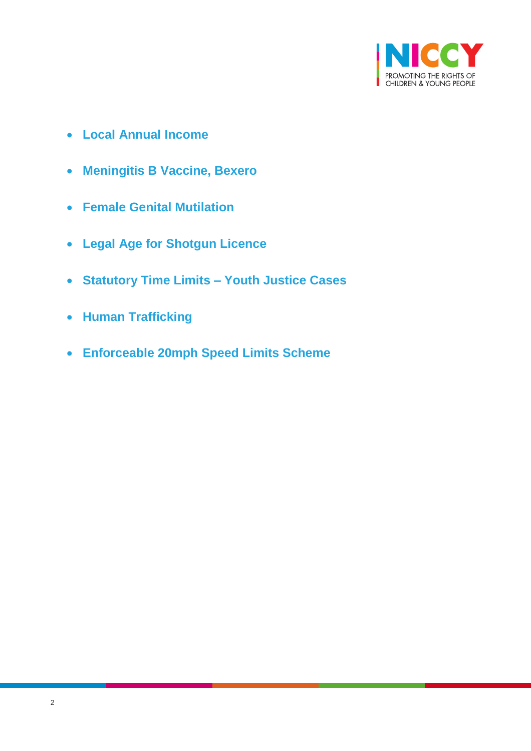

- **[Local Annual Income](#page-17-0)**
- **[Meningitis B Vaccine, Bexero](#page-18-0)**
- **[Female Genital Mutilation](#page-18-1)**
- **[Legal Age for Shotgun Licence](#page-19-0)**
- **[Statutory Time Limits –](#page-19-1) Youth Justice Cases**
- **[Human Trafficking](#page-20-0)**
- **[Enforceable 20mph Speed Limits Scheme](#page-22-0)**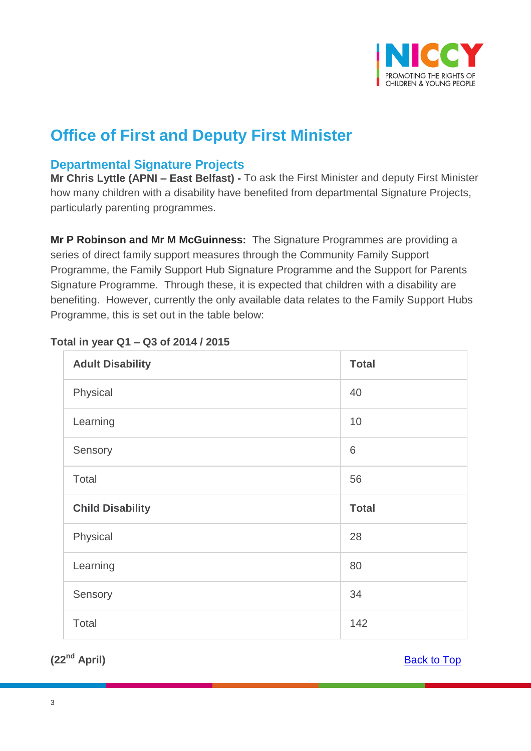

# **Office of First and Deputy First Minister**

# <span id="page-2-0"></span>**Departmental Signature Projects**

**Mr Chris Lyttle (APNI – East Belfast) -** To ask the First Minister and deputy First Minister how many children with a disability have benefited from departmental Signature Projects, particularly parenting programmes.

**Mr P Robinson and Mr M McGuinness:** The Signature Programmes are providing a series of direct family support measures through the Community Family Support Programme, the Family Support Hub Signature Programme and the Support for Parents Signature Programme. Through these, it is expected that children with a disability are benefiting. However, currently the only available data relates to the Family Support Hubs Programme, this is set out in the table below:

| <b>Adult Disability</b> | <b>Total</b> |
|-------------------------|--------------|
| Physical                | 40           |
| Learning                | 10           |
| Sensory                 | 6            |
| Total                   | 56           |
|                         |              |
| <b>Child Disability</b> | <b>Total</b> |
| Physical                | 28           |
| Learning                | 80           |
| Sensory                 | 34           |

### **Total in year Q1 – Q3 of 2014 / 2015**

**(22nd April)** [Back to Top](#page-0-0)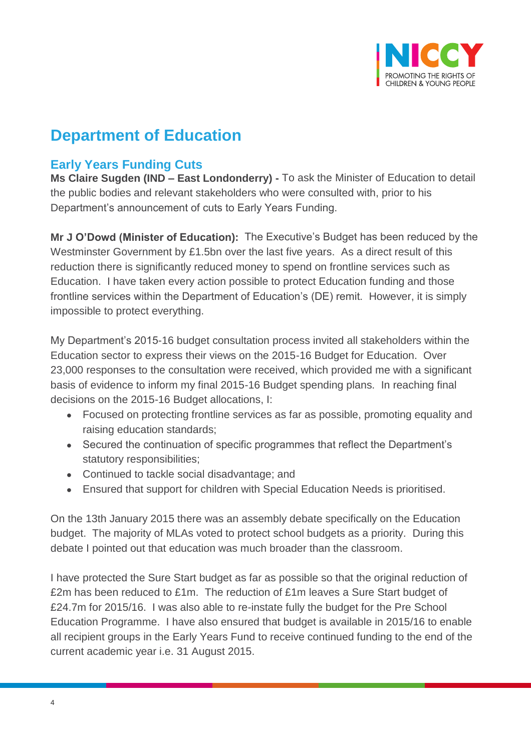

# **Department of Education**

# <span id="page-3-0"></span>**Early Years Funding Cuts**

**Ms Claire Sugden (IND – East Londonderry) -** To ask the Minister of Education to detail the public bodies and relevant stakeholders who were consulted with, prior to his Department's announcement of cuts to Early Years Funding.

**Mr J O'Dowd (Minister of Education):** The Executive's Budget has been reduced by the Westminster Government by £1.5bn over the last five years. As a direct result of this reduction there is significantly reduced money to spend on frontline services such as Education. I have taken every action possible to protect Education funding and those frontline services within the Department of Education's (DE) remit. However, it is simply impossible to protect everything.

My Department's 2015-16 budget consultation process invited all stakeholders within the Education sector to express their views on the 2015-16 Budget for Education. Over 23,000 responses to the consultation were received, which provided me with a significant basis of evidence to inform my final 2015-16 Budget spending plans. In reaching final decisions on the 2015-16 Budget allocations, I:

- Focused on protecting frontline services as far as possible, promoting equality and raising education standards;
- Secured the continuation of specific programmes that reflect the Department's statutory responsibilities;
- Continued to tackle social disadvantage; and
- Ensured that support for children with Special Education Needs is prioritised.

On the 13th January 2015 there was an assembly debate specifically on the Education budget. The majority of MLAs voted to protect school budgets as a priority. During this debate I pointed out that education was much broader than the classroom.

I have protected the Sure Start budget as far as possible so that the original reduction of £2m has been reduced to £1m. The reduction of £1m leaves a Sure Start budget of £24.7m for 2015/16. I was also able to re-instate fully the budget for the Pre School Education Programme. I have also ensured that budget is available in 2015/16 to enable all recipient groups in the Early Years Fund to receive continued funding to the end of the current academic year i.e. 31 August 2015.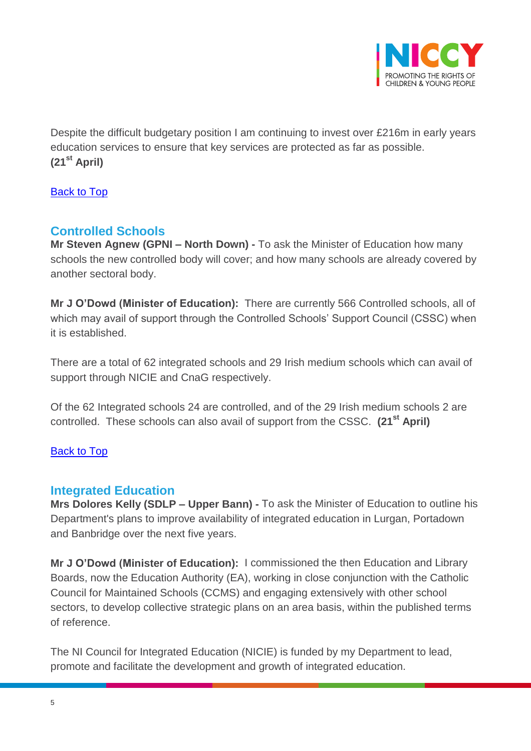

Despite the difficult budgetary position I am continuing to invest over £216m in early years education services to ensure that key services are protected as far as possible. **(21st April)**

[Back to Top](#page-0-0)

# <span id="page-4-0"></span>**Controlled Schools**

**Mr Steven Agnew (GPNI – North Down) -** To ask the Minister of Education how many schools the new controlled body will cover; and how many schools are already covered by another sectoral body.

**Mr J O'Dowd (Minister of Education):** There are currently 566 Controlled schools, all of which may avail of support through the Controlled Schools' Support Council (CSSC) when it is established.

There are a total of 62 integrated schools and 29 Irish medium schools which can avail of support through NICIE and CnaG respectively.

Of the 62 Integrated schools 24 are controlled, and of the 29 Irish medium schools 2 are controlled. These schools can also avail of support from the CSSC. **(21st April)**

### [Back to Top](#page-0-0)

## <span id="page-4-1"></span>**Integrated Education**

**Mrs Dolores Kelly (SDLP – Upper Bann) -** To ask the Minister of Education to outline his Department's plans to improve availability of integrated education in Lurgan, Portadown and Banbridge over the next five years.

**Mr J O'Dowd (Minister of Education):** I commissioned the then Education and Library Boards, now the Education Authority (EA), working in close conjunction with the Catholic Council for Maintained Schools (CCMS) and engaging extensively with other school sectors, to develop collective strategic plans on an area basis, within the published terms of reference.

The NI Council for Integrated Education (NICIE) is funded by my Department to lead, promote and facilitate the development and growth of integrated education.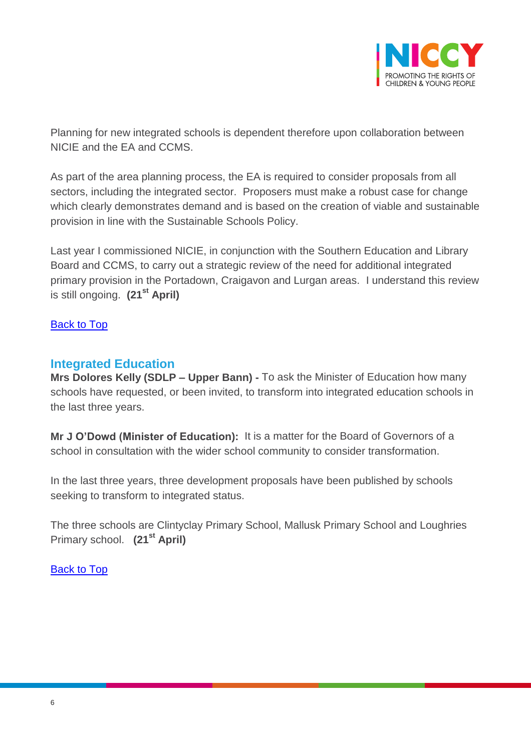

Planning for new integrated schools is dependent therefore upon collaboration between NICIE and the EA and CCMS.

As part of the area planning process, the EA is required to consider proposals from all sectors, including the integrated sector. Proposers must make a robust case for change which clearly demonstrates demand and is based on the creation of viable and sustainable provision in line with the Sustainable Schools Policy.

Last year I commissioned NICIE, in conjunction with the Southern Education and Library Board and CCMS, to carry out a strategic review of the need for additional integrated primary provision in the Portadown, Craigavon and Lurgan areas. I understand this review is still ongoing. **(21st April)**

### [Back to Top](#page-0-0)

## <span id="page-5-0"></span>**Integrated Education**

**Mrs Dolores Kelly (SDLP – Upper Bann) -** To ask the Minister of Education how many schools have requested, or been invited, to transform into integrated education schools in the last three years.

**Mr J O'Dowd (Minister of Education):** It is a matter for the Board of Governors of a school in consultation with the wider school community to consider transformation.

In the last three years, three development proposals have been published by schools seeking to transform to integrated status.

The three schools are Clintyclay Primary School, Mallusk Primary School and Loughries Primary school. **(21st April)**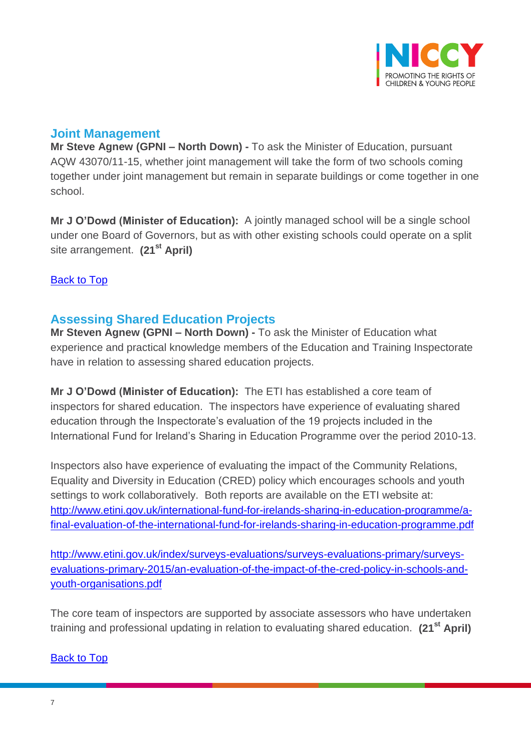

# <span id="page-6-0"></span>**Joint Management**

**Mr Steve Agnew (GPNI – North Down) -** To ask the Minister of Education, pursuant AQW 43070/11-15, whether joint management will take the form of two schools coming together under joint management but remain in separate buildings or come together in one school.

**Mr J O'Dowd (Minister of Education):** A jointly managed school will be a single school under one Board of Governors, but as with other existing schools could operate on a split site arrangement. **(21st April)**

## [Back to Top](#page-0-0)

# <span id="page-6-1"></span>**Assessing Shared Education Projects**

**Mr Steven Agnew (GPNI – North Down) -** To ask the Minister of Education what experience and practical knowledge members of the Education and Training Inspectorate have in relation to assessing shared education projects.

**Mr J O'Dowd (Minister of Education):** The ETI has established a core team of inspectors for shared education. The inspectors have experience of evaluating shared education through the Inspectorate's evaluation of the 19 projects included in the International Fund for Ireland's Sharing in Education Programme over the period 2010-13.

Inspectors also have experience of evaluating the impact of the Community Relations, Equality and Diversity in Education (CRED) policy which encourages schools and youth settings to work collaboratively. Both reports are available on the ETI website at: [http://www.etini.gov.uk/international-fund-for-irelands-sharing-in-education-programme/a](http://www.etini.gov.uk/international-fund-for-irelands-sharing-in-education-programme/a-final-evaluation-of-the-international-fund-for-irelands-sharing-in-education-programme.pdf)[final-evaluation-of-the-international-fund-for-irelands-sharing-in-education-programme.pdf](http://www.etini.gov.uk/international-fund-for-irelands-sharing-in-education-programme/a-final-evaluation-of-the-international-fund-for-irelands-sharing-in-education-programme.pdf)

[http://www.etini.gov.uk/index/surveys-evaluations/surveys-evaluations-primary/surveys](http://www.etini.gov.uk/index/surveys-evaluations/surveys-evaluations-primary/surveys-evaluations-primary-2015/an-evaluation-of-the-impact-of-the-cred-policy-in-schools-and-youth-organisations.pdf)[evaluations-primary-2015/an-evaluation-of-the-impact-of-the-cred-policy-in-schools-and](http://www.etini.gov.uk/index/surveys-evaluations/surveys-evaluations-primary/surveys-evaluations-primary-2015/an-evaluation-of-the-impact-of-the-cred-policy-in-schools-and-youth-organisations.pdf)[youth-organisations.pdf](http://www.etini.gov.uk/index/surveys-evaluations/surveys-evaluations-primary/surveys-evaluations-primary-2015/an-evaluation-of-the-impact-of-the-cred-policy-in-schools-and-youth-organisations.pdf)

The core team of inspectors are supported by associate assessors who have undertaken training and professional updating in relation to evaluating shared education. **(21st April)**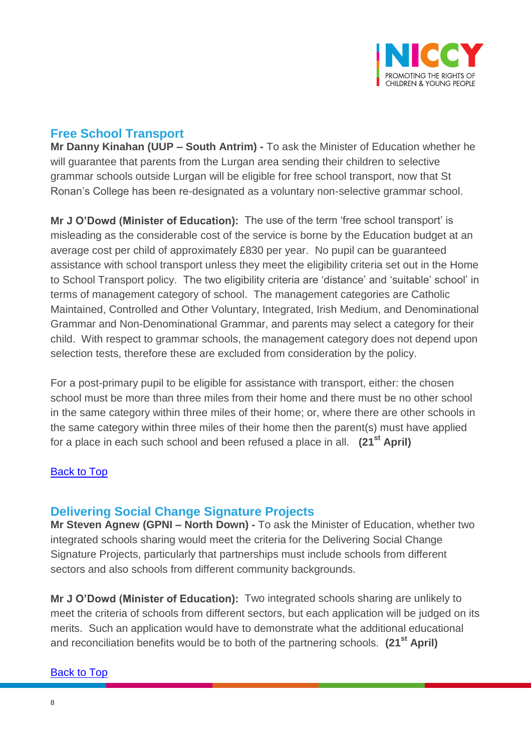

# <span id="page-7-0"></span>**Free School Transport**

**Mr Danny Kinahan (UUP – South Antrim) -** To ask the Minister of Education whether he will guarantee that parents from the Lurgan area sending their children to selective grammar schools outside Lurgan will be eligible for free school transport, now that St Ronan's College has been re-designated as a voluntary non-selective grammar school.

**Mr J O'Dowd (Minister of Education):** The use of the term 'free school transport' is misleading as the considerable cost of the service is borne by the Education budget at an average cost per child of approximately £830 per year. No pupil can be guaranteed assistance with school transport unless they meet the eligibility criteria set out in the Home to School Transport policy. The two eligibility criteria are 'distance' and 'suitable' school' in terms of management category of school. The management categories are Catholic Maintained, Controlled and Other Voluntary, Integrated, Irish Medium, and Denominational Grammar and Non-Denominational Grammar, and parents may select a category for their child. With respect to grammar schools, the management category does not depend upon selection tests, therefore these are excluded from consideration by the policy.

For a post-primary pupil to be eligible for assistance with transport, either: the chosen school must be more than three miles from their home and there must be no other school in the same category within three miles of their home; or, where there are other schools in the same category within three miles of their home then the parent(s) must have applied for a place in each such school and been refused a place in all. **(21st April)**

### [Back to Top](#page-0-0)

## <span id="page-7-1"></span>**Delivering Social Change Signature Projects**

**Mr Steven Agnew (GPNI – North Down) -** To ask the Minister of Education, whether two integrated schools sharing would meet the criteria for the Delivering Social Change Signature Projects, particularly that partnerships must include schools from different sectors and also schools from different community backgrounds.

**Mr J O'Dowd (Minister of Education):** Two integrated schools sharing are unlikely to meet the criteria of schools from different sectors, but each application will be judged on its merits. Such an application would have to demonstrate what the additional educational and reconciliation benefits would be to both of the partnering schools. **(21st April)**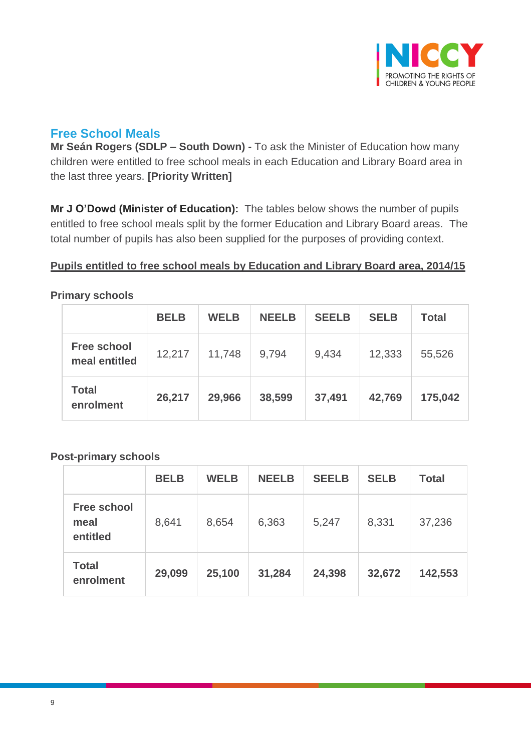

# <span id="page-8-0"></span>**Free School Meals**

**Mr Seán Rogers (SDLP – South Down) -** To ask the Minister of Education how many children were entitled to free school meals in each Education and Library Board area in the last three years. **[Priority Written]**

**Mr J O'Dowd (Minister of Education):** The tables below shows the number of pupils entitled to free school meals split by the former Education and Library Board areas. The total number of pupils has also been supplied for the purposes of providing context.

### **Pupils entitled to free school meals by Education and Library Board area, 2014/15**

|                                     | <b>BELB</b> | <b>WELB</b> | <b>NEELB</b> | <b>SEELB</b> | <b>SELB</b> | <b>Total</b> |
|-------------------------------------|-------------|-------------|--------------|--------------|-------------|--------------|
| <b>Free school</b><br>meal entitled | 12,217      | 11,748      | 9,794        | 9,434        | 12,333      | 55,526       |
| <b>Total</b><br>enrolment           | 26,217      | 29,966      | 38,599       | 37,491       | 42,769      | 175,042      |

#### **Primary schools**

### **Post-primary schools**

|                                        | <b>BELB</b> | <b>WELB</b> | <b>NEELB</b> | <b>SEELB</b> | <b>SELB</b> | <b>Total</b> |
|----------------------------------------|-------------|-------------|--------------|--------------|-------------|--------------|
| <b>Free school</b><br>meal<br>entitled | 8,641       | 8,654       | 6,363        | 5,247        | 8,331       | 37,236       |
| <b>Total</b><br>enrolment              | 29,099      | 25,100      | 31,284       | 24,398       | 32,672      | 142,553      |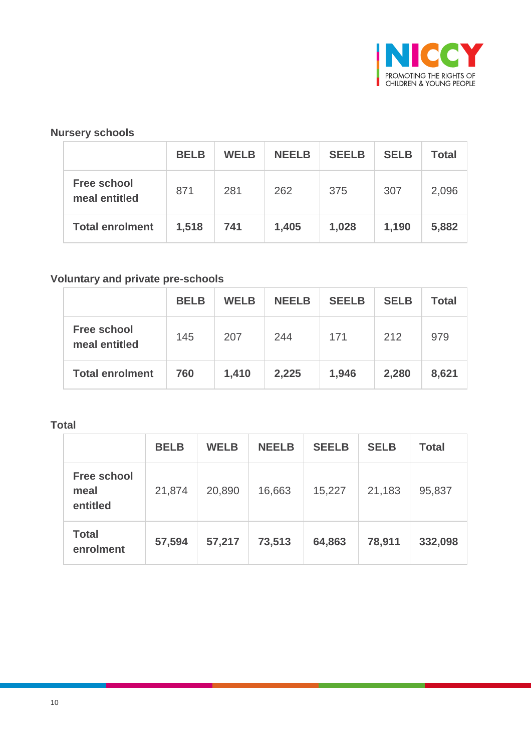

## **Nursery schools**

|                                     | <b>BELB</b> | <b>WELB</b> | <b>NEELB</b> | <b>SEELB</b> | <b>SELB</b> | <b>Total</b> |
|-------------------------------------|-------------|-------------|--------------|--------------|-------------|--------------|
| <b>Free school</b><br>meal entitled | 871         | 281         | 262          | 375          | 307         | 2,096        |
| <b>Total enrolment</b>              | 1,518       | 741         | 1,405        | 1,028        | 1,190       | 5,882        |

## **Voluntary and private pre-schools**

|                                     | <b>BELB</b> | <b>WELB</b> | <b>NEELB</b> | <b>SEELB</b> | <b>SELB</b> | <b>Total</b> |
|-------------------------------------|-------------|-------------|--------------|--------------|-------------|--------------|
| <b>Free school</b><br>meal entitled | 145         | 207         | 244          | 171          | 212         | 979          |
| <b>Total enrolment</b>              | 760         | 1,410       | 2,225        | 1,946        | 2,280       | 8,621        |

#### **Total**

|                                        | <b>BELB</b> | <b>WELB</b> | <b>NEELB</b> | <b>SEELB</b> | <b>SELB</b> | <b>Total</b> |
|----------------------------------------|-------------|-------------|--------------|--------------|-------------|--------------|
| <b>Free school</b><br>meal<br>entitled | 21,874      | 20,890      | 16,663       | 15,227       | 21,183      | 95,837       |
| <b>Total</b><br>enrolment              | 57,594      | 57,217      | 73,513       | 64,863       | 78,911      | 332,098      |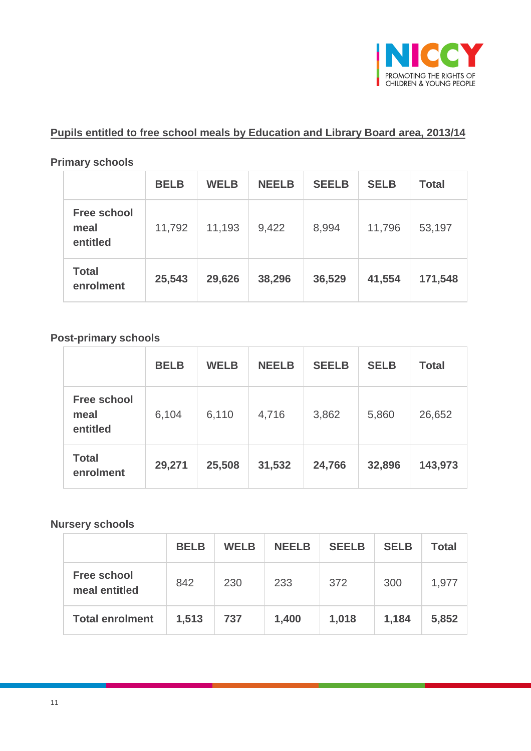

# **Pupils entitled to free school meals by Education and Library Board area, 2013/14**

#### **Primary schools**

|                                        | <b>BELB</b> | <b>WELB</b> | <b>NEELB</b> | <b>SEELB</b> | <b>SELB</b> | <b>Total</b> |
|----------------------------------------|-------------|-------------|--------------|--------------|-------------|--------------|
| <b>Free school</b><br>meal<br>entitled | 11,792      | 11,193      | 9,422        | 8,994        | 11,796      | 53,197       |
| <b>Total</b><br>enrolment              | 25,543      | 29,626      | 38,296       | 36,529       | 41,554      | 171,548      |

### **Post-primary schools**

|                                        | <b>BELB</b> | <b>WELB</b> | <b>NEELB</b> | <b>SEELB</b> | <b>SELB</b> | <b>Total</b> |
|----------------------------------------|-------------|-------------|--------------|--------------|-------------|--------------|
| <b>Free school</b><br>meal<br>entitled | 6,104       | 6,110       | 4,716        | 3,862        | 5,860       | 26,652       |
| <b>Total</b><br>enrolment              | 29,271      | 25,508      | 31,532       | 24,766       | 32,896      | 143,973      |

## **Nursery schools**

|                                     | <b>BELB</b> | <b>WELB</b> | <b>NEELB</b> | <b>SEELB</b> | <b>SELB</b> | <b>Total</b> |
|-------------------------------------|-------------|-------------|--------------|--------------|-------------|--------------|
| <b>Free school</b><br>meal entitled | 842         | 230         | 233          | 372          | 300         | 1,977        |
| <b>Total enrolment</b>              | 1,513       | 737         | 1,400        | 1,018        | 1,184       | 5,852        |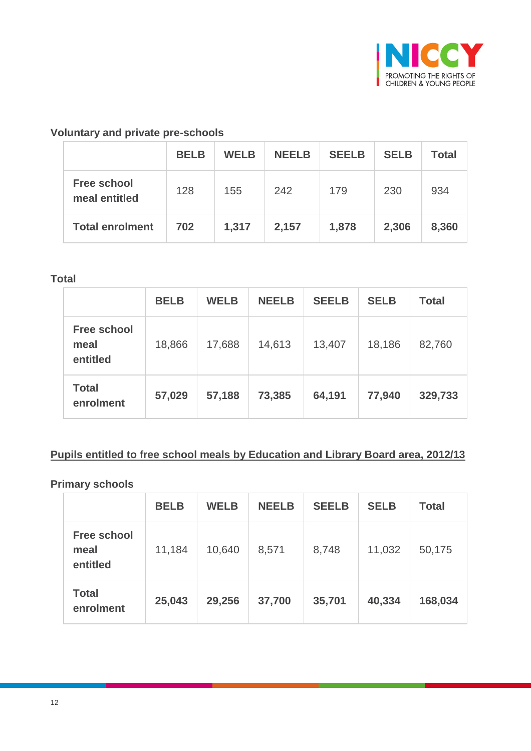

## **Voluntary and private pre-schools**

|                                     | <b>BELB</b> | <b>WELB</b> | <b>NEELB</b> | <b>SEELB</b> | <b>SELB</b> | <b>Total</b> |
|-------------------------------------|-------------|-------------|--------------|--------------|-------------|--------------|
| <b>Free school</b><br>meal entitled | 128         | 155         | 242          | 179          | 230         | 934          |
| <b>Total enrolment</b>              | 702         | 1,317       | 2,157        | 1,878        | 2,306       | 8,360        |

#### **Total**

|                                        | <b>BELB</b> | <b>WELB</b> | <b>NEELB</b> | <b>SEELB</b> | <b>SELB</b> | <b>Total</b> |
|----------------------------------------|-------------|-------------|--------------|--------------|-------------|--------------|
| <b>Free school</b><br>meal<br>entitled | 18,866      | 17,688      | 14,613       | 13,407       | 18,186      | 82,760       |
| <b>Total</b><br>enrolment              | 57,029      | 57,188      | 73,385       | 64,191       | 77,940      | 329,733      |

### **Pupils entitled to free school meals by Education and Library Board area, 2012/13**

#### **Primary schools**

|                                        | <b>BELB</b> | <b>WELB</b> | <b>NEELB</b> | <b>SEELB</b> | <b>SELB</b> | <b>Total</b> |
|----------------------------------------|-------------|-------------|--------------|--------------|-------------|--------------|
| <b>Free school</b><br>meal<br>entitled | 11,184      | 10,640      | 8,571        | 8,748        | 11,032      | 50,175       |
| <b>Total</b><br>enrolment              | 25,043      | 29,256      | 37,700       | 35,701       | 40,334      | 168,034      |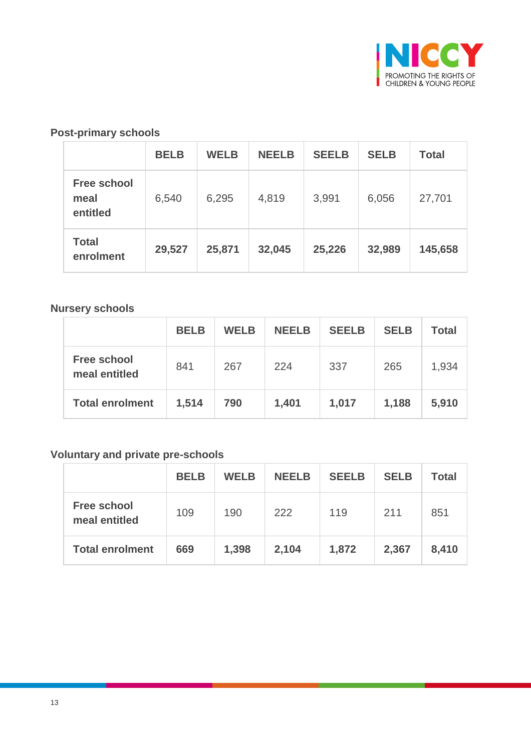

## **Post-primary schools**

|                                        | <b>BELB</b> | <b>WELB</b> | <b>NEELB</b> | <b>SEELB</b> | <b>SELB</b> | <b>Total</b> |
|----------------------------------------|-------------|-------------|--------------|--------------|-------------|--------------|
| <b>Free school</b><br>meal<br>entitled | 6,540       | 6,295       | 4,819        | 3,991        | 6,056       | 27,701       |
| <b>Total</b><br>enrolment              | 29,527      | 25,871      | 32,045       | 25,226       | 32,989      | 145,658      |

#### **Nursery schools**

|                                     | <b>BELB</b> | <b>WELB</b> | <b>NEELB</b> | <b>SEELB</b> | <b>SELB</b> | <b>Total</b> |
|-------------------------------------|-------------|-------------|--------------|--------------|-------------|--------------|
| <b>Free school</b><br>meal entitled | 841         | 267         | 224          | 337          | 265         | 1,934        |
| <b>Total enrolment</b>              | 1,514       | 790         | 1,401        | 1,017        | 1,188       | 5,910        |

## **Voluntary and private pre-schools**

|                                     | <b>BELB</b> | <b>WELB</b> | <b>NEELB</b> | <b>SEELB</b> | <b>SELB</b> | <b>Total</b> |
|-------------------------------------|-------------|-------------|--------------|--------------|-------------|--------------|
| <b>Free school</b><br>meal entitled | 109         | 190         | 222          | 119          | 211         | 851          |
| <b>Total enrolment</b>              | 669         | 1,398       | 2,104        | 1,872        | 2,367       | 8,410        |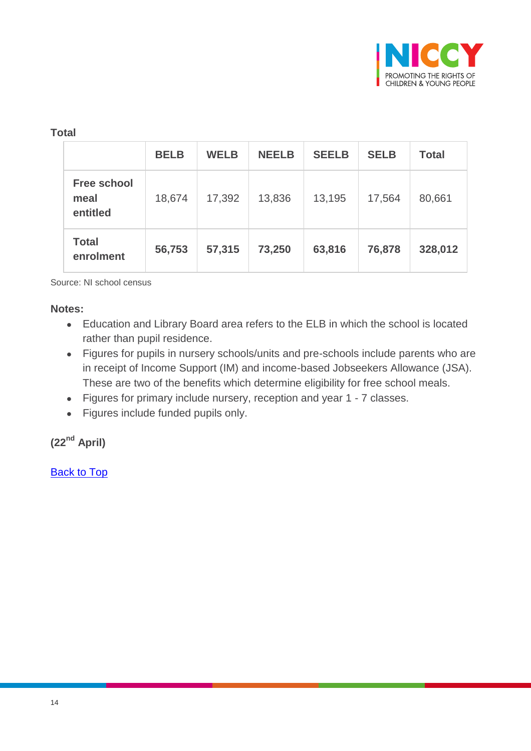

### **Total**

|                                        | <b>BELB</b> | <b>WELB</b> | <b>NEELB</b> | <b>SEELB</b> | <b>SELB</b> | <b>Total</b> |
|----------------------------------------|-------------|-------------|--------------|--------------|-------------|--------------|
| <b>Free school</b><br>meal<br>entitled | 18,674      | 17,392      | 13,836       | 13,195       | 17,564      | 80,661       |
| <b>Total</b><br>enrolment              | 56,753      | 57,315      | 73,250       | 63,816       | 76,878      | 328,012      |

Source: NI school census

#### **Notes:**

- Education and Library Board area refers to the ELB in which the school is located rather than pupil residence.
- Figures for pupils in nursery schools/units and pre-schools include parents who are in receipt of Income Support (IM) and income-based Jobseekers Allowance (JSA). These are two of the benefits which determine eligibility for free school meals.
- Figures for primary include nursery, reception and year 1 7 classes.
- Figures include funded pupils only.

# **(22nd April)**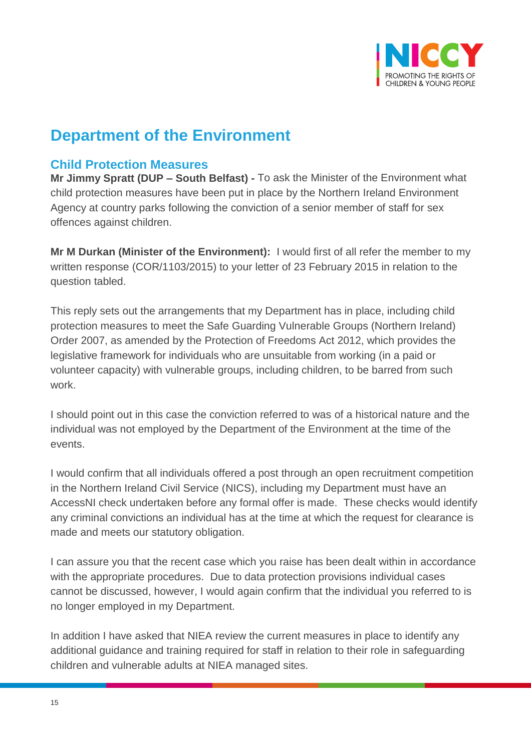

# **Department of the Environment**

# <span id="page-14-0"></span>**Child Protection Measures**

**Mr Jimmy Spratt (DUP – South Belfast) -** To ask the Minister of the Environment what child protection measures have been put in place by the Northern Ireland Environment Agency at country parks following the conviction of a senior member of staff for sex offences against children.

**Mr M Durkan (Minister of the Environment):** I would first of all refer the member to my written response (COR/1103/2015) to your letter of 23 February 2015 in relation to the question tabled.

This reply sets out the arrangements that my Department has in place, including child protection measures to meet the Safe Guarding Vulnerable Groups (Northern Ireland) Order 2007, as amended by the Protection of Freedoms Act 2012, which provides the legislative framework for individuals who are unsuitable from working (in a paid or volunteer capacity) with vulnerable groups, including children, to be barred from such work.

I should point out in this case the conviction referred to was of a historical nature and the individual was not employed by the Department of the Environment at the time of the events.

I would confirm that all individuals offered a post through an open recruitment competition in the Northern Ireland Civil Service (NICS), including my Department must have an AccessNI check undertaken before any formal offer is made. These checks would identify any criminal convictions an individual has at the time at which the request for clearance is made and meets our statutory obligation.

I can assure you that the recent case which you raise has been dealt within in accordance with the appropriate procedures. Due to data protection provisions individual cases cannot be discussed, however, I would again confirm that the individual you referred to is no longer employed in my Department.

In addition I have asked that NIEA review the current measures in place to identify any additional guidance and training required for staff in relation to their role in safeguarding children and vulnerable adults at NIEA managed sites.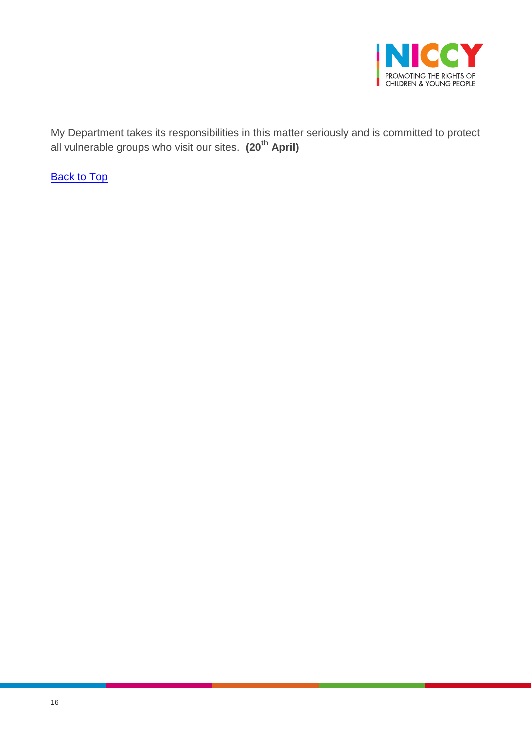

My Department takes its responsibilities in this matter seriously and is committed to protect all vulnerable groups who visit our sites. **(20th April)**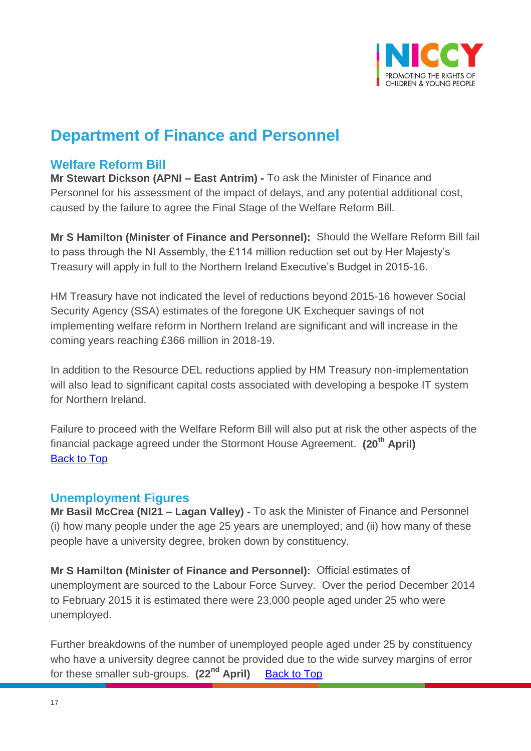

# **Department of Finance and Personnel**

# <span id="page-16-0"></span>**Welfare Reform Bill**

**Mr Stewart Dickson (APNI – East Antrim) -** To ask the Minister of Finance and Personnel for his assessment of the impact of delays, and any potential additional cost, caused by the failure to agree the Final Stage of the Welfare Reform Bill.

**Mr S Hamilton (Minister of Finance and Personnel):** Should the Welfare Reform Bill fail to pass through the NI Assembly, the £114 million reduction set out by Her Majesty's Treasury will apply in full to the Northern Ireland Executive's Budget in 2015-16.

HM Treasury have not indicated the level of reductions beyond 2015-16 however Social Security Agency (SSA) estimates of the foregone UK Exchequer savings of not implementing welfare reform in Northern Ireland are significant and will increase in the coming years reaching £366 million in 2018-19.

In addition to the Resource DEL reductions applied by HM Treasury non-implementation will also lead to significant capital costs associated with developing a bespoke IT system for Northern Ireland.

Failure to proceed with the Welfare Reform Bill will also put at risk the other aspects of the financial package agreed under the Stormont House Agreement. **(20th April)** [Back to Top](#page-0-0)

## <span id="page-16-1"></span>**Unemployment Figures**

**Mr Basil McCrea (NI21 – Lagan Valley) -** To ask the Minister of Finance and Personnel (i) how many people under the age 25 years are unemployed; and (ii) how many of these people have a university degree, broken down by constituency.

**Mr S Hamilton (Minister of Finance and Personnel):** Official estimates of unemployment are sourced to the Labour Force Survey. Over the period December 2014 to February 2015 it is estimated there were 23,000 people aged under 25 who were unemployed.

Further breakdowns of the number of unemployed people aged under 25 by constituency who have a university degree cannot be provided due to the wide survey margins of error for these smaller sub-groups. **(22nd April)** [Back to Top](#page-0-0)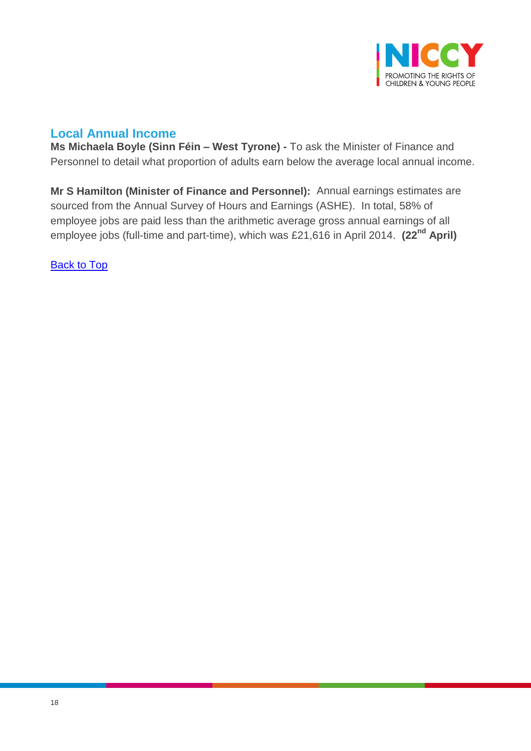

# <span id="page-17-0"></span>**Local Annual Income**

**Ms Michaela Boyle (Sinn Féin – West Tyrone) -** To ask the Minister of Finance and Personnel to detail what proportion of adults earn below the average local annual income.

**Mr S Hamilton (Minister of Finance and Personnel):** Annual earnings estimates are sourced from the Annual Survey of Hours and Earnings (ASHE). In total, 58% of employee jobs are paid less than the arithmetic average gross annual earnings of all employee jobs (full-time and part-time), which was £21,616 in April 2014. **(22nd April)**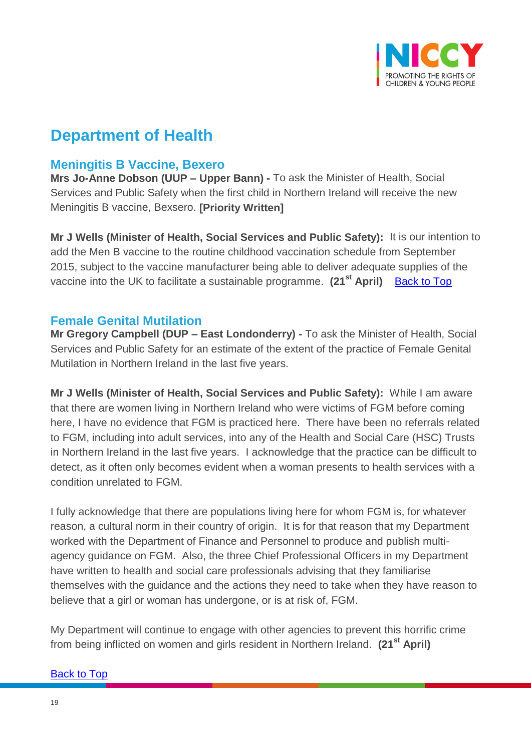

# **Department of Health**

# <span id="page-18-0"></span>**Meningitis B Vaccine, Bexero**

**Mrs Jo-Anne Dobson (UUP – Upper Bann) -** To ask the Minister of Health, Social Services and Public Safety when the first child in Northern Ireland will receive the new Meningitis B vaccine, Bexsero. **[Priority Written]**

**Mr J Wells (Minister of Health, Social Services and Public Safety):** It is our intention to add the Men B vaccine to the routine childhood vaccination schedule from September 2015, subject to the vaccine manufacturer being able to deliver adequate supplies of the vaccine into the UK to facilitate a sustainable programme. **(21st April)** [Back to Top](#page-0-0)

## <span id="page-18-1"></span>**Female Genital Mutilation**

**Mr Gregory Campbell (DUP – East Londonderry) -** To ask the Minister of Health, Social Services and Public Safety for an estimate of the extent of the practice of Female Genital Mutilation in Northern Ireland in the last five years.

**Mr J Wells (Minister of Health, Social Services and Public Safety):** While I am aware that there are women living in Northern Ireland who were victims of FGM before coming here, I have no evidence that FGM is practiced here. There have been no referrals related to FGM, including into adult services, into any of the Health and Social Care (HSC) Trusts in Northern Ireland in the last five years. I acknowledge that the practice can be difficult to detect, as it often only becomes evident when a woman presents to health services with a condition unrelated to FGM.

I fully acknowledge that there are populations living here for whom FGM is, for whatever reason, a cultural norm in their country of origin. It is for that reason that my Department worked with the Department of Finance and Personnel to produce and publish multiagency guidance on FGM. Also, the three Chief Professional Officers in my Department have written to health and social care professionals advising that they familiarise themselves with the guidance and the actions they need to take when they have reason to believe that a girl or woman has undergone, or is at risk of, FGM.

My Department will continue to engage with other agencies to prevent this horrific crime from being inflicted on women and girls resident in Northern Ireland. **(21st April)**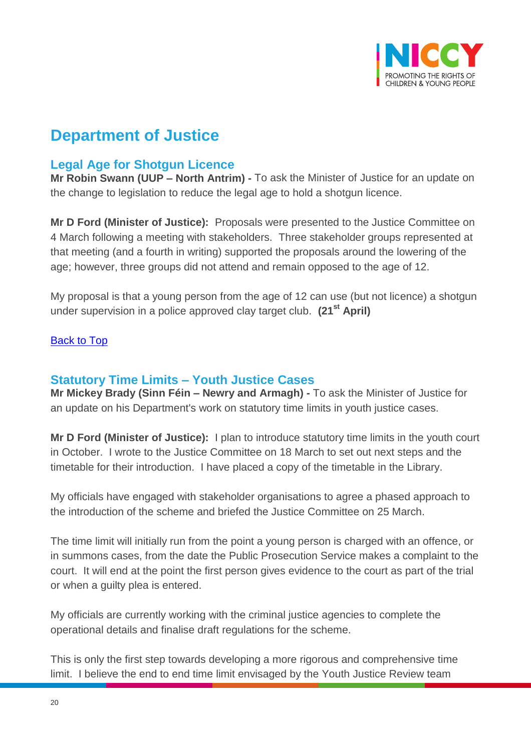

# **Department of Justice**

# <span id="page-19-0"></span>**Legal Age for Shotgun Licence**

**Mr Robin Swann (UUP – North Antrim) -** To ask the Minister of Justice for an update on the change to legislation to reduce the legal age to hold a shotgun licence.

**Mr D Ford (Minister of Justice):** Proposals were presented to the Justice Committee on 4 March following a meeting with stakeholders. Three stakeholder groups represented at that meeting (and a fourth in writing) supported the proposals around the lowering of the age; however, three groups did not attend and remain opposed to the age of 12.

My proposal is that a young person from the age of 12 can use (but not licence) a shotgun under supervision in a police approved clay target club. **(21st April)**

[Back to Top](#page-0-0)

## <span id="page-19-1"></span>**Statutory Time Limits – Youth Justice Cases**

**Mr Mickey Brady (Sinn Féin – Newry and Armagh) -** To ask the Minister of Justice for an update on his Department's work on statutory time limits in youth justice cases.

**Mr D Ford (Minister of Justice):** I plan to introduce statutory time limits in the youth court in October. I wrote to the Justice Committee on 18 March to set out next steps and the timetable for their introduction. I have placed a copy of the timetable in the Library.

My officials have engaged with stakeholder organisations to agree a phased approach to the introduction of the scheme and briefed the Justice Committee on 25 March.

The time limit will initially run from the point a young person is charged with an offence, or in summons cases, from the date the Public Prosecution Service makes a complaint to the court. It will end at the point the first person gives evidence to the court as part of the trial or when a guilty plea is entered.

My officials are currently working with the criminal justice agencies to complete the operational details and finalise draft regulations for the scheme.

This is only the first step towards developing a more rigorous and comprehensive time limit. I believe the end to end time limit envisaged by the Youth Justice Review team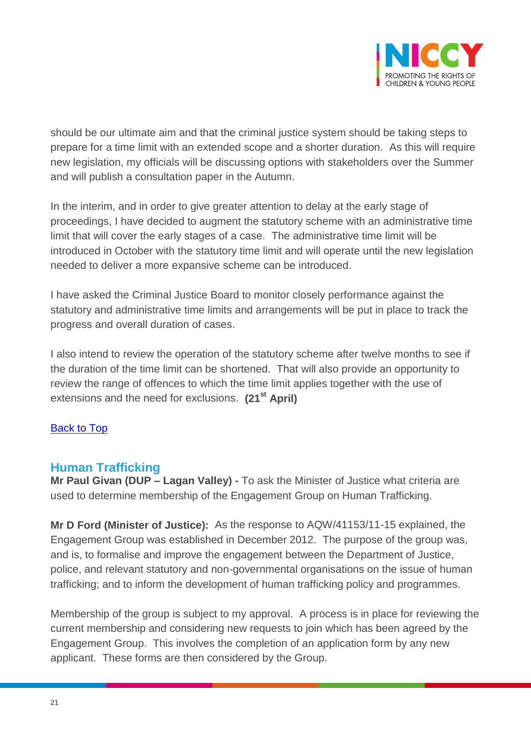

should be our ultimate aim and that the criminal justice system should be taking steps to prepare for a time limit with an extended scope and a shorter duration. As this will require new legislation, my officials will be discussing options with stakeholders over the Summer and will publish a consultation paper in the Autumn.

In the interim, and in order to give greater attention to delay at the early stage of proceedings, I have decided to augment the statutory scheme with an administrative time limit that will cover the early stages of a case. The administrative time limit will be introduced in October with the statutory time limit and will operate until the new legislation needed to deliver a more expansive scheme can be introduced.

I have asked the Criminal Justice Board to monitor closely performance against the statutory and administrative time limits and arrangements will be put in place to track the progress and overall duration of cases.

I also intend to review the operation of the statutory scheme after twelve months to see if the duration of the time limit can be shortened. That will also provide an opportunity to review the range of offences to which the time limit applies together with the use of extensions and the need for exclusions. **(21st April)**

### [Back to Top](#page-0-0)

## <span id="page-20-0"></span>**Human Trafficking**

**Mr Paul Givan (DUP – Lagan Valley) -** To ask the Minister of Justice what criteria are used to determine membership of the Engagement Group on Human Trafficking.

**Mr D Ford (Minister of Justice):** As the response to AQW/41153/11-15 explained, the Engagement Group was established in December 2012. The purpose of the group was, and is, to formalise and improve the engagement between the Department of Justice, police, and relevant statutory and non-governmental organisations on the issue of human trafficking; and to inform the development of human trafficking policy and programmes.

Membership of the group is subject to my approval. A process is in place for reviewing the current membership and considering new requests to join which has been agreed by the Engagement Group. This involves the completion of an application form by any new applicant. These forms are then considered by the Group.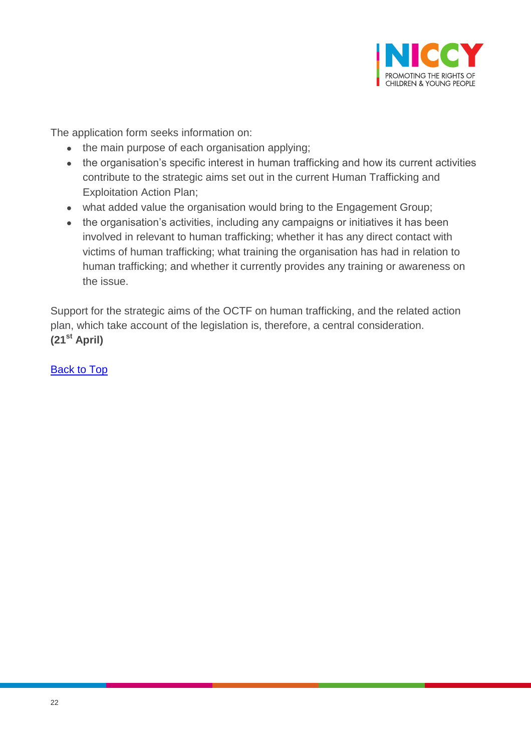

The application form seeks information on:

- the main purpose of each organisation applying;
- the organisation's specific interest in human trafficking and how its current activities contribute to the strategic aims set out in the current Human Trafficking and Exploitation Action Plan;
- what added value the organisation would bring to the Engagement Group;
- the organisation's activities, including any campaigns or initiatives it has been involved in relevant to human trafficking; whether it has any direct contact with victims of human trafficking; what training the organisation has had in relation to human trafficking; and whether it currently provides any training or awareness on the issue.

Support for the strategic aims of the OCTF on human trafficking, and the related action plan, which take account of the legislation is, therefore, a central consideration. **(21st April)**